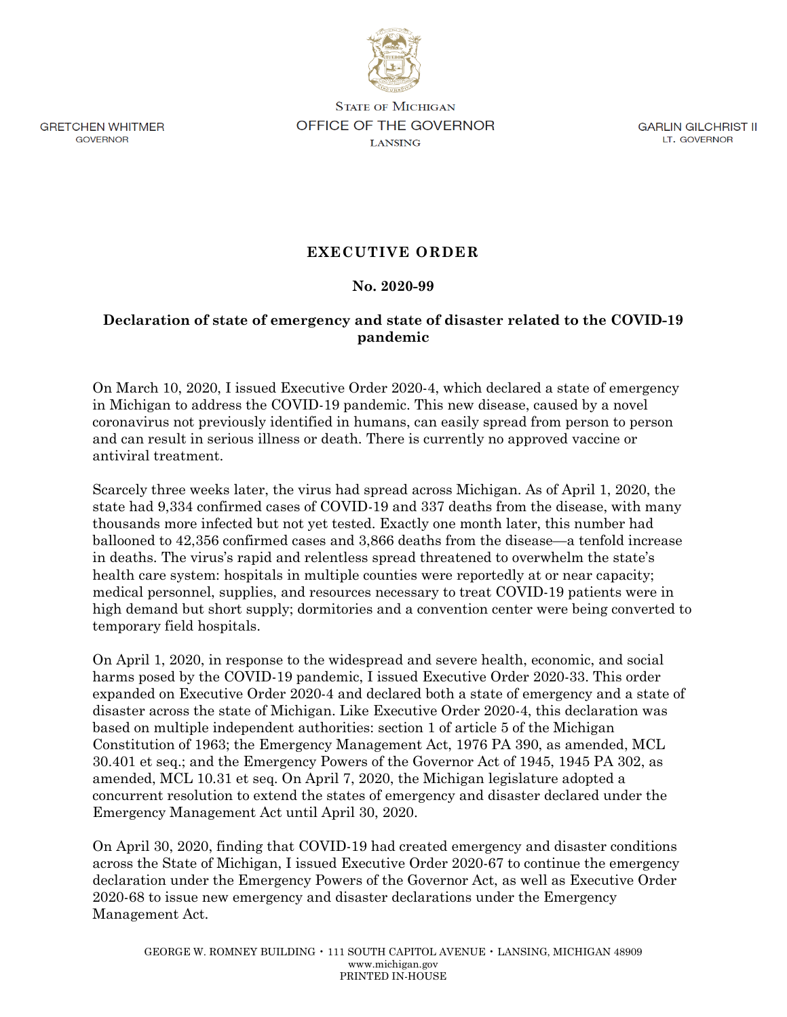

**GRETCHEN WHITMER** GOVERNOR

**STATE OF MICHIGAN OFFICE OF THE GOVERNOR LANSING** 

GARLIN GILCHRIST II LT. GOVERNOR

## **EXECUTIVE ORDER**

## **No. 2020-99**

## **Declaration of state of emergency and state of disaster related to the COVID-19 pandemic**

On March 10, 2020, I issued Executive Order 2020-4, which declared a state of emergency in Michigan to address the COVID-19 pandemic. This new disease, caused by a novel coronavirus not previously identified in humans, can easily spread from person to person and can result in serious illness or death. There is currently no approved vaccine or antiviral treatment.

Scarcely three weeks later, the virus had spread across Michigan. As of April 1, 2020, the state had 9,334 confirmed cases of COVID-19 and 337 deaths from the disease, with many thousands more infected but not yet tested. Exactly one month later, this number had ballooned to 42,356 confirmed cases and 3,866 deaths from the disease—a tenfold increase in deaths. The virus's rapid and relentless spread threatened to overwhelm the state's health care system: hospitals in multiple counties were reportedly at or near capacity; medical personnel, supplies, and resources necessary to treat COVID-19 patients were in high demand but short supply; dormitories and a convention center were being converted to temporary field hospitals.

On April 1, 2020, in response to the widespread and severe health, economic, and social harms posed by the COVID-19 pandemic, I issued Executive Order 2020-33. This order expanded on Executive Order 2020-4 and declared both a state of emergency and a state of disaster across the state of Michigan. Like Executive Order 2020-4, this declaration was based on multiple independent authorities: section 1 of article 5 of the Michigan Constitution of 1963; the Emergency Management Act, 1976 PA 390, as amended, MCL 30.401 et seq.; and the Emergency Powers of the Governor Act of 1945, 1945 PA 302, as amended, MCL 10.31 et seq. On April 7, 2020, the Michigan legislature adopted a concurrent resolution to extend the states of emergency and disaster declared under the Emergency Management Act until April 30, 2020.

On April 30, 2020, finding that COVID-19 had created emergency and disaster conditions across the State of Michigan, I issued Executive Order 2020-67 to continue the emergency declaration under the Emergency Powers of the Governor Act, as well as Executive Order 2020-68 to issue new emergency and disaster declarations under the Emergency Management Act.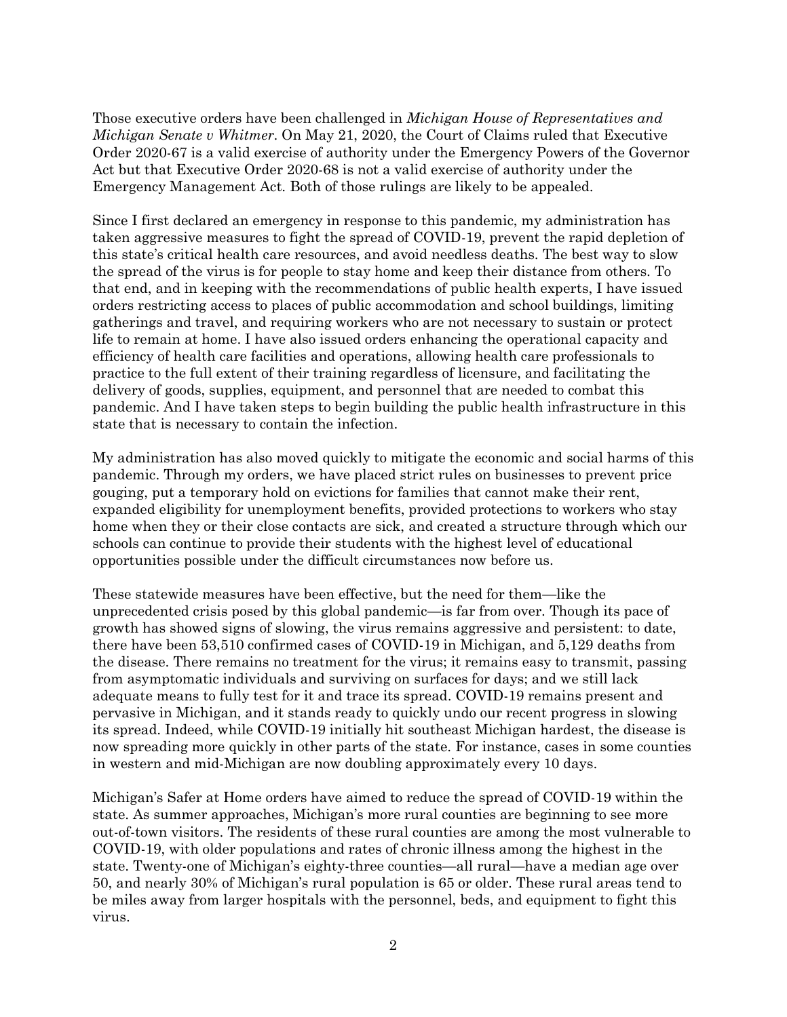Those executive orders have been challenged in *Michigan House of Representatives and Michigan Senate v Whitmer*. On May 21, 2020, the Court of Claims ruled that Executive Order 2020-67 is a valid exercise of authority under the Emergency Powers of the Governor Act but that Executive Order 2020-68 is not a valid exercise of authority under the Emergency Management Act. Both of those rulings are likely to be appealed.

Since I first declared an emergency in response to this pandemic, my administration has taken aggressive measures to fight the spread of COVID-19, prevent the rapid depletion of this state's critical health care resources, and avoid needless deaths. The best way to slow the spread of the virus is for people to stay home and keep their distance from others. To that end, and in keeping with the recommendations of public health experts, I have issued orders restricting access to places of public accommodation and school buildings, limiting gatherings and travel, and requiring workers who are not necessary to sustain or protect life to remain at home. I have also issued orders enhancing the operational capacity and efficiency of health care facilities and operations, allowing health care professionals to practice to the full extent of their training regardless of licensure, and facilitating the delivery of goods, supplies, equipment, and personnel that are needed to combat this pandemic. And I have taken steps to begin building the public health infrastructure in this state that is necessary to contain the infection.

My administration has also moved quickly to mitigate the economic and social harms of this pandemic. Through my orders, we have placed strict rules on businesses to prevent price gouging, put a temporary hold on evictions for families that cannot make their rent, expanded eligibility for unemployment benefits, provided protections to workers who stay home when they or their close contacts are sick, and created a structure through which our schools can continue to provide their students with the highest level of educational opportunities possible under the difficult circumstances now before us.

These statewide measures have been effective, but the need for them—like the unprecedented crisis posed by this global pandemic—is far from over. Though its pace of growth has showed signs of slowing, the virus remains aggressive and persistent: to date, there have been 53,510 confirmed cases of COVID-19 in Michigan, and 5,129 deaths from the disease. There remains no treatment for the virus; it remains easy to transmit, passing from asymptomatic individuals and surviving on surfaces for days; and we still lack adequate means to fully test for it and trace its spread. COVID-19 remains present and pervasive in Michigan, and it stands ready to quickly undo our recent progress in slowing its spread. Indeed, while COVID-19 initially hit southeast Michigan hardest, the disease is now spreading more quickly in other parts of the state. For instance, cases in some counties in western and mid-Michigan are now doubling approximately every 10 days.

Michigan's Safer at Home orders have aimed to reduce the spread of COVID-19 within the state. As summer approaches, Michigan's more rural counties are beginning to see more out-of-town visitors. The residents of these rural counties are among the most vulnerable to COVID-19, with older populations and rates of chronic illness among the highest in the state. Twenty-one of Michigan's eighty-three counties—all rural—have a median age over 50, and nearly 30% of Michigan's rural population is 65 or older. These rural areas tend to be miles away from larger hospitals with the personnel, beds, and equipment to fight this virus.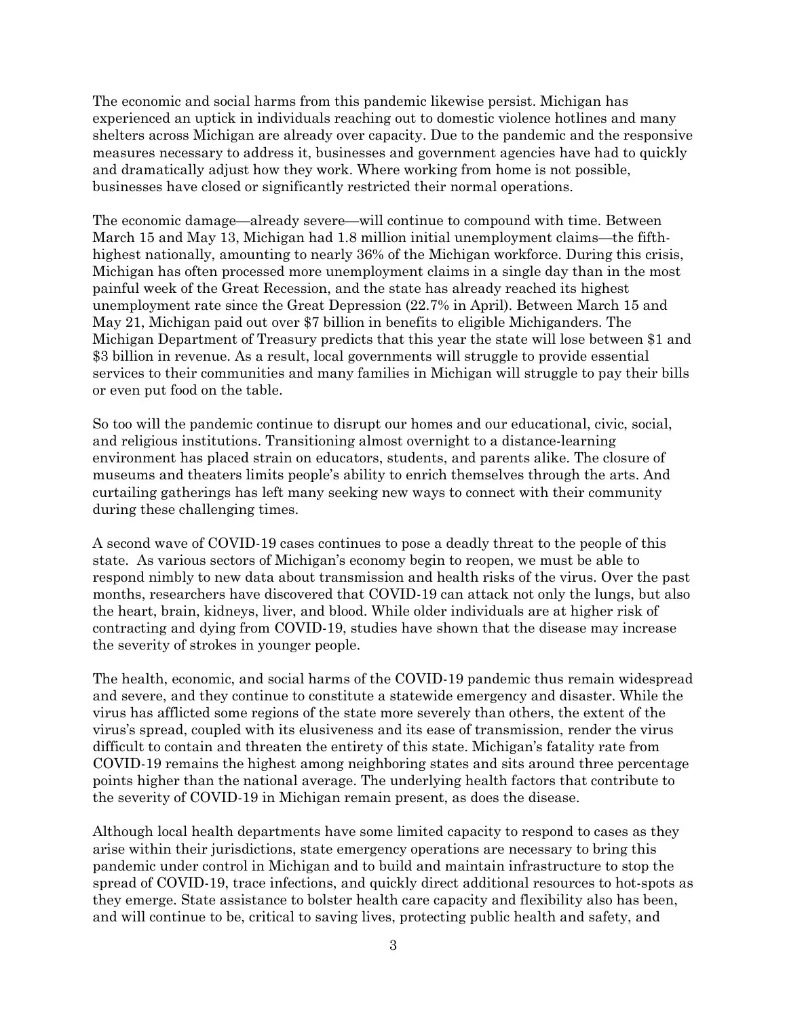The economic and social harms from this pandemic likewise persist. Michigan has experienced an uptick in individuals reaching out to domestic violence hotlines and many shelters across Michigan are already over capacity. Due to the pandemic and the responsive measures necessary to address it, businesses and government agencies have had to quickly and dramatically adjust how they work. Where working from home is not possible, businesses have closed or significantly restricted their normal operations.

The economic damage—already severe—will continue to compound with time. Between March 15 and May 13, Michigan had 1.8 million initial unemployment claims—the fifthhighest nationally, amounting to nearly 36% of the Michigan workforce. During this crisis, Michigan has often processed more unemployment claims in a single day than in the most painful week of the Great Recession, and the state has already reached its highest unemployment rate since the Great Depression (22.7% in April). Between March 15 and May 21, Michigan paid out over \$7 billion in benefits to eligible Michiganders. The Michigan Department of Treasury predicts that this year the state will lose between \$1 and \$3 billion in revenue. As a result, local governments will struggle to provide essential services to their communities and many families in Michigan will struggle to pay their bills or even put food on the table.

So too will the pandemic continue to disrupt our homes and our educational, civic, social, and religious institutions. Transitioning almost overnight to a distance-learning environment has placed strain on educators, students, and parents alike. The closure of museums and theaters limits people's ability to enrich themselves through the arts. And curtailing gatherings has left many seeking new ways to connect with their community during these challenging times.

A second wave of COVID-19 cases continues to pose a deadly threat to the people of this state. As various sectors of Michigan's economy begin to reopen, we must be able to respond nimbly to new data about transmission and health risks of the virus. Over the past months, researchers have discovered that COVID-19 can attack not only the lungs, but also the heart, brain, kidneys, liver, and blood. While older individuals are at higher risk of contracting and dying from COVID-19, studies have shown that the disease may increase the severity of strokes in younger people.

The health, economic, and social harms of the COVID-19 pandemic thus remain widespread and severe, and they continue to constitute a statewide emergency and disaster. While the virus has afflicted some regions of the state more severely than others, the extent of the virus's spread, coupled with its elusiveness and its ease of transmission, render the virus difficult to contain and threaten the entirety of this state. Michigan's fatality rate from COVID-19 remains the highest among neighboring states and sits around three percentage points higher than the national average. The underlying health factors that contribute to the severity of COVID-19 in Michigan remain present, as does the disease.

Although local health departments have some limited capacity to respond to cases as they arise within their jurisdictions, state emergency operations are necessary to bring this pandemic under control in Michigan and to build and maintain infrastructure to stop the spread of COVID-19, trace infections, and quickly direct additional resources to hot-spots as they emerge. State assistance to bolster health care capacity and flexibility also has been, and will continue to be, critical to saving lives, protecting public health and safety, and